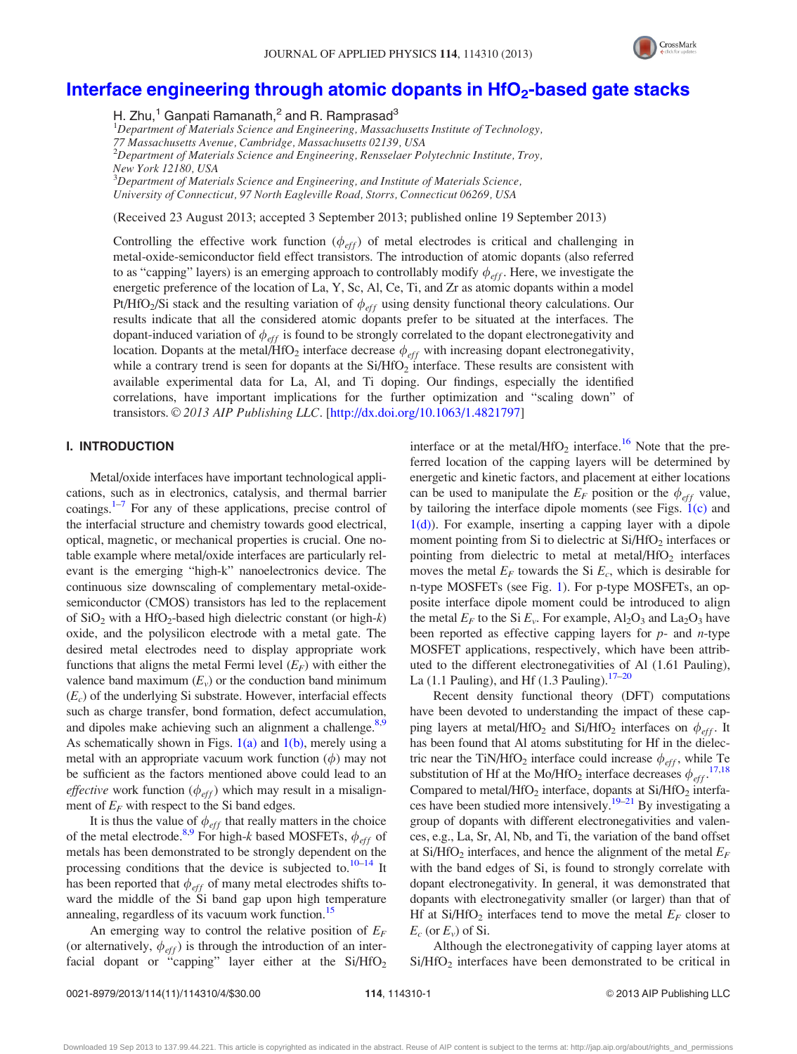

# Interface engineering through atomic dopants in  $HfO<sub>2</sub>$ -based gate stacks

H. Zhu,<sup>1</sup> Ganpati Ramanath, $^2$  and R. Ramprasad<sup>3</sup>

<sup>1</sup>Department of Materials Science and Engineering, Massachusetts Institute of Technology, 77 Massachusetts Avenue, Cambridge, Massachusetts 02139, USA  $^{2}$ Department of Materials Science and Engineering, Rensselaer Polytechnic Institute, Troy, New York 12180, USA  $3$ Department of Materials Science and Engineering, and Institute of Materials Science, University of Connecticut, 97 North Eagleville Road, Storrs, Connecticut 06269, USA

(Received 23 August 2013; accepted 3 September 2013; published online 19 September 2013)

Controlling the effective work function  $(\phi_{eff})$  of metal electrodes is critical and challenging in metal-oxide-semiconductor field effect transistors. The introduction of atomic dopants (also referred to as "capping" layers) is an emerging approach to controllably modify  $\phi_{eff}$ . Here, we investigate the energetic preference of the location of La, Y, Sc, Al, Ce, Ti, and Zr as atomic dopants within a model Pt/HfO<sub>2</sub>/Si stack and the resulting variation of  $\phi_{eff}$  using density functional theory calculations. Our results indicate that all the considered atomic dopants prefer to be situated at the interfaces. The dopant-induced variation of  $\phi_{eff}$  is found to be strongly correlated to the dopant electronegativity and location. Dopants at the metal/HfO<sub>2</sub> interface decrease  $\phi_{eff}$  with increasing dopant electronegativity, while a contrary trend is seen for dopants at the Si/HfO<sub>2</sub> interface. These results are consistent with available experimental data for La, Al, and Ti doping. Our findings, especially the identified correlations, have important implications for the further optimization and "scaling down" of transistors.  $\odot$  2013 AIP Publishing LLC. [[http://dx.doi.org/10.1063/1.4821797\]](http://dx.doi.org/10.1063/1.4821797)

## I. INTRODUCTION

Metal/oxide interfaces have important technological applications, such as in electronics, catalysis, and thermal barrier coatings. $1-7$  $1-7$  $1-7$  For any of these applications, precise control of the interfacial structure and chemistry towards good electrical, optical, magnetic, or mechanical properties is crucial. One notable example where metal/oxide interfaces are particularly relevant is the emerging "high-k" nanoelectronics device. The continuous size downscaling of complementary metal-oxidesemiconductor (CMOS) transistors has led to the replacement of  $SiO<sub>2</sub>$  with a HfO<sub>2</sub>-based high dielectric constant (or high-k) oxide, and the polysilicon electrode with a metal gate. The desired metal electrodes need to display appropriate work functions that aligns the metal Fermi level  $(E_F)$  with either the valence band maximum  $(E_v)$  or the conduction band minimum  $(E_c)$  of the underlying Si substrate. However, interfacial effects such as charge transfer, bond formation, defect accumulation, and dipoles make achieving such an alignment a challenge.<sup>8,9</sup> As schematically shown in Figs.  $1(a)$  and  $1(b)$ , merely using a metal with an appropriate vacuum work function  $(\phi)$  may not be sufficient as the factors mentioned above could lead to an *effective* work function ( $\phi_{eff}$ ) which may result in a misalignment of  $E_F$  with respect to the Si band edges.

It is thus the value of  $\phi_{\text{eff}}$  that really matters in the choice of the metal electrode.<sup>8,9</sup> For high-k based MOSFETs,  $\phi_{eff}$  of metals has been demonstrated to be strongly dependent on the processing conditions that the device is subjected to. $10-14$  It has been reported that  $\phi_{eff}$  of many metal electrodes shifts toward the middle of the Si band gap upon high temperature annealing, regardless of its vacuum work function.<sup>15</sup>

An emerging way to control the relative position of  $E_F$ (or alternatively,  $\phi_{eff}$ ) is through the introduction of an interfacial dopant or "capping" layer either at the  $Si/HfO<sub>2</sub>$  interface or at the metal/HfO<sub>2</sub> interface.<sup>16</sup> Note that the preferred location of the capping layers will be determined by energetic and kinetic factors, and placement at either locations can be used to manipulate the  $E_F$  position or the  $\phi_{eff}$  value, by tailoring the interface dipole moments (see Figs. [1\(c\)](#page-1-0) and [1\(d\)](#page-1-0)). For example, inserting a capping layer with a dipole moment pointing from Si to dielectric at  $Si/HfO<sub>2</sub>$  interfaces or pointing from dielectric to metal at metal/HfO<sub>2</sub> interfaces moves the metal  $E_F$  towards the Si  $E_c$ , which is desirable for n-type MOSFETs (see Fig. [1](#page-1-0)). For p-type MOSFETs, an opposite interface dipole moment could be introduced to align the metal  $E_F$  to the Si  $E_v$ . For example,  $Al_2O_3$  and  $La_2O_3$  have been reported as effective capping layers for  $p$ - and  $n$ -type MOSFET applications, respectively, which have been attributed to the different electronegativities of Al (1.61 Pauling), La (1.1 Pauling), and Hf (1.3 Pauling). $17-20$ 

Recent density functional theory (DFT) computations have been devoted to understanding the impact of these capping layers at metal/HfO<sub>2</sub> and Si/HfO<sub>2</sub> interfaces on  $\phi_{eff}$ . It has been found that Al atoms substituting for Hf in the dielectric near the TiN/HfO<sub>2</sub> interface could increase  $\phi_{eff}$ , while Te substitution of Hf at the Mo/HfO<sub>2</sub> interface decreases  $\phi_{eff}$ <sup>[17,18](#page-3-0)</sup> Compared to metal/HfO<sub>2</sub> interface, dopants at  $Si/HfO<sub>2</sub>$  interfa-ces have been studied more intensively.<sup>[19–21](#page-3-0)</sup> By investigating a group of dopants with different electronegativities and valences, e.g., La, Sr, Al, Nb, and Ti, the variation of the band offset at Si/HfO<sub>2</sub> interfaces, and hence the alignment of the metal  $E_F$ with the band edges of Si, is found to strongly correlate with dopant electronegativity. In general, it was demonstrated that dopants with electronegativity smaller (or larger) than that of Hf at Si/HfO<sub>2</sub> interfaces tend to move the metal  $E_F$  closer to  $E_c$  (or  $E_v$ ) of Si.

Although the electronegativity of capping layer atoms at  $Si/HfO<sub>2</sub>$  interfaces have been demonstrated to be critical in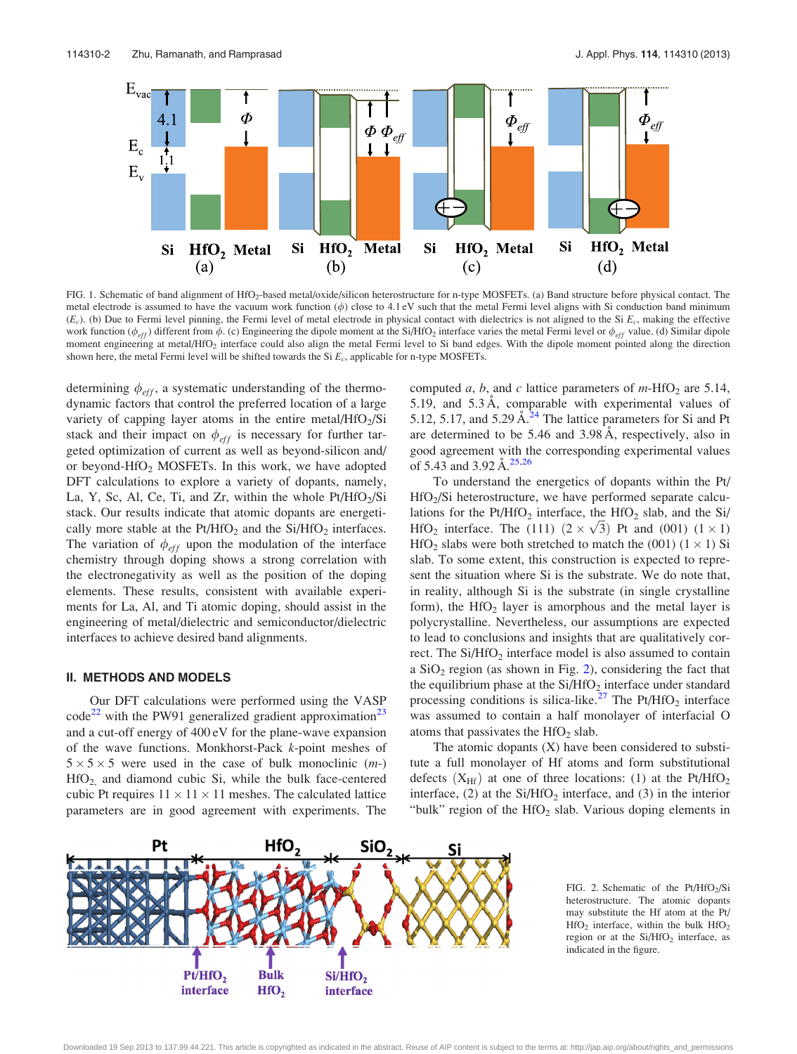<span id="page-1-0"></span>

FIG. 1. Schematic of band alignment of HfO<sub>2</sub>-based metal/oxide/silicon heterostructure for n-type MOSFETs. (a) Band structure before physical contact. The metal electrode is assumed to have the vacuum work function  $(\phi)$  close to 4.1 eV such that the metal Fermi level aligns with Si conduction band minimum  $(E_c)$ . (b) Due to Fermi level pinning, the Fermi level of metal electrode in physical contact with dielectrics is not aligned to the Si  $E_c$ , making the effective work function  $(\phi_{eff})$  different from  $\phi$ . (c) Engineering the dipole moment at the Si/HfO<sub>2</sub> interface varies the metal Fermi level or  $\phi_{eff}$  value. (d) Similar dipole moment engineering at metal/HfO<sub>2</sub> interface could also align the metal Fermi level to Si band edges. With the dipole moment pointed along the direction shown here, the metal Fermi level will be shifted towards the Si  $E_c$ , applicable for n-type MOSFETs.

determining  $\phi_{eff}$ , a systematic understanding of the thermodynamic factors that control the preferred location of a large variety of capping layer atoms in the entire metal/ $HfO<sub>2</sub>/Si$ stack and their impact on  $\phi_{eff}$  is necessary for further targeted optimization of current as well as beyond-silicon and/ or beyond-HfO<sub>2</sub> MOSFETs. In this work, we have adopted DFT calculations to explore a variety of dopants, namely, La, Y, Sc, Al, Ce, Ti, and Zr, within the whole  $Pt/HfO<sub>2</sub>/Si$ stack. Our results indicate that atomic dopants are energetically more stable at the  $Pt/HfO<sub>2</sub>$  and the Si/HfO<sub>2</sub> interfaces. The variation of  $\phi_{eff}$  upon the modulation of the interface chemistry through doping shows a strong correlation with the electronegativity as well as the position of the doping elements. These results, consistent with available experiments for La, Al, and Ti atomic doping, should assist in the engineering of metal/dielectric and semiconductor/dielectric interfaces to achieve desired band alignments.

#### II. METHODS AND MODELS

Our DFT calculations were performed using the VASP  $\text{code}^{22}$  $\text{code}^{22}$  $\text{code}^{22}$  with the PW91 generalized gradient approximation<sup>[23](#page-3-0)</sup> and a cut-off energy of 400 eV for the plane-wave expansion of the wave functions. Monkhorst-Pack k-point meshes of  $5 \times 5 \times 5$  were used in the case of bulk monoclinic  $(m-)$  $HfO<sub>2</sub>$  and diamond cubic Si, while the bulk face-centered cubic Pt requires  $11 \times 11 \times 11$  meshes. The calculated lattice parameters are in good agreement with experiments. The computed a, b, and c lattice parameters of  $m$ -HfO<sub>2</sub> are 5.14, 5.19, and  $5.3 \text{ Å}$ , comparable with experimental values of 5.12, 5.17, and 5.29  $\AA$ <sup>[24](#page-3-0)</sup> The lattice parameters for Si and Pt are determined to be  $5.46$  and  $3.98 \text{ Å}$ , respectively, also in good agreement with the corresponding experimental values of 5.43 and 3.92  $\AA$ <sup>[25,26](#page-3-0)</sup>

To understand the energetics of dopants within the Pt/ HfO<sub>2</sub>/Si heterostructure, we have performed separate calculations for the  $Pt/HfO<sub>2</sub>$  interface, the  $HfO<sub>2</sub>$  slab, and the Si/ rations for the Pt/HIO<sub>2</sub> interface, the HIO<sub>2</sub> stab, and the SI/<br>HfO<sub>2</sub> interface. The (111)  $(2 \times \sqrt{3})$  Pt and (001)  $(1 \times 1)$  $HfO<sub>2</sub>$  slabs were both stretched to match the (001) (1  $\times$  1) Si slab. To some extent, this construction is expected to represent the situation where Si is the substrate. We do note that, in reality, although Si is the substrate (in single crystalline form), the  $HfO<sub>2</sub>$  layer is amorphous and the metal layer is polycrystalline. Nevertheless, our assumptions are expected to lead to conclusions and insights that are qualitatively correct. The  $Si/HfO<sub>2</sub>$  interface model is also assumed to contain a  $SiO<sub>2</sub>$  region (as shown in Fig. 2), considering the fact that the equilibrium phase at the  $Si/HfO<sub>2</sub>$  interface under standard processing conditions is silica-like.<sup>[27](#page-3-0)</sup> The Pt/HfO<sub>2</sub> interface was assumed to contain a half monolayer of interfacial O atoms that passivates the  $HfO<sub>2</sub>$  slab.

The atomic dopants (X) have been considered to substitute a full monolayer of Hf atoms and form substitutional defects  $(X_{\text{Hf}})$  at one of three locations: (1) at the Pt/HfO<sub>2</sub> interface, (2) at the  $Si/HfO<sub>2</sub>$  interface, and (3) in the interior "bulk" region of the  $HfO<sub>2</sub>$  slab. Various doping elements in



FIG. 2. Schematic of the  $Pt/HfO<sub>2</sub>/Si$ heterostructure. The atomic dopants may substitute the Hf atom at the Pt/  $HfO<sub>2</sub>$  interface, within the bulk  $HfO<sub>2</sub>$ region or at the Si/HfO<sub>2</sub> interface, as indicated in the figure.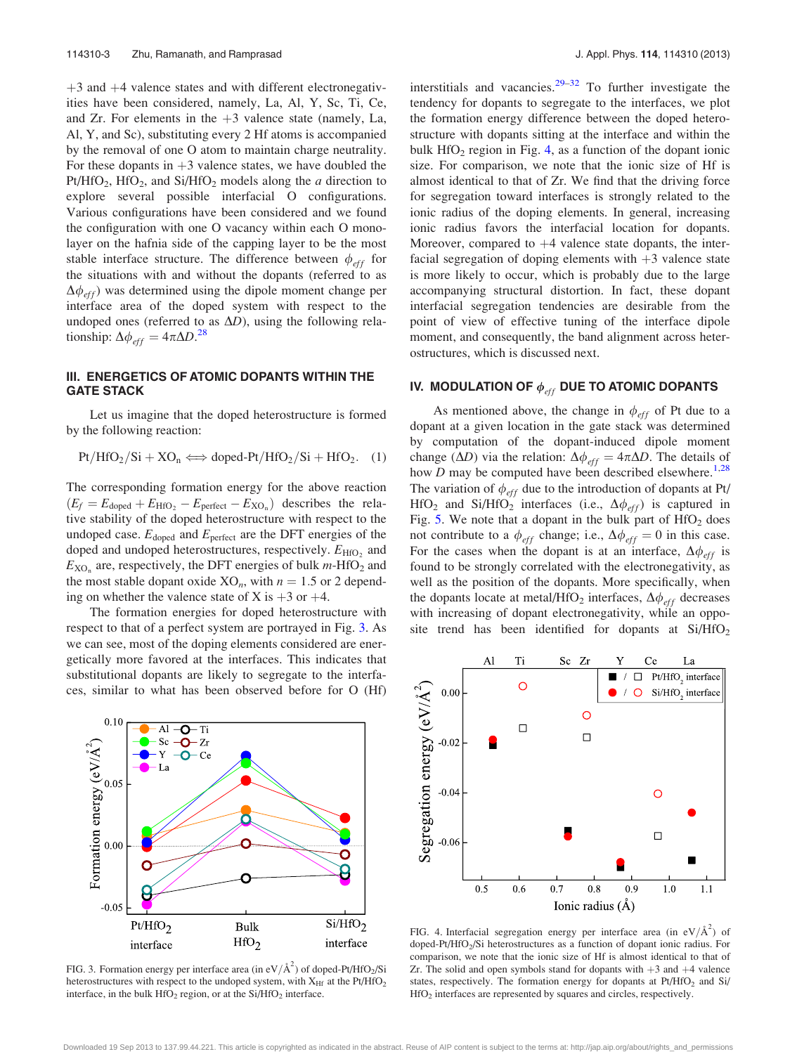$+3$  and  $+4$  valence states and with different electronegativities have been considered, namely, La, Al, Y, Sc, Ti, Ce, and Zr. For elements in the  $+3$  valence state (namely, La, Al, Y, and Sc), substituting every 2 Hf atoms is accompanied by the removal of one O atom to maintain charge neutrality. For these dopants in  $+3$  valence states, we have doubled the Pt/HfO<sub>2</sub>, HfO<sub>2</sub>, and Si/HfO<sub>2</sub> models along the *a* direction to explore several possible interfacial O configurations. Various configurations have been considered and we found the configuration with one O vacancy within each O monolayer on the hafnia side of the capping layer to be the most stable interface structure. The difference between  $\phi_{eff}$  for the situations with and without the dopants (referred to as  $\Delta\phi_{eff}$ ) was determined using the dipole moment change per interface area of the doped system with respect to the undoped ones (referred to as  $\Delta D$ ), using the following relationship:  $\Delta \phi_{eff} = 4\pi \Delta D^{28}$  $\Delta \phi_{eff} = 4\pi \Delta D^{28}$  $\Delta \phi_{eff} = 4\pi \Delta D^{28}$ 

### III. ENERGETICS OF ATOMIC DOPANTS WITHIN THE GATE STACK

Let us imagine that the doped heterostructure is formed by the following reaction:

 $Pt/HfO_2/Si+XO_n \Longleftrightarrow$  doped-Pt/HfO<sub>2</sub>/Si + HfO<sub>2</sub>. (1)

The corresponding formation energy for the above reaction  $(E_f = E_{\text{doped}} + E_{\text{HfO}_2} - E_{\text{perfect}} - E_{\text{XO}_n})$  describes the relative stability of the doped heterostructure with respect to the undoped case.  $E_{\text{doped}}$  and  $E_{\text{perfect}}$  are the DFT energies of the doped and undoped heterostructures, respectively.  $E_{\text{HfO}_2}$  and  $E_{XO_n}$  are, respectively, the DFT energies of bulk *m*-HfO<sub>2</sub> and the most stable dopant oxide  $XO_n$ , with  $n = 1.5$  or 2 depending on whether the valence state of X is  $+3$  or  $+4$ .

The formation energies for doped heterostructure with respect to that of a perfect system are portrayed in Fig. 3. As we can see, most of the doping elements considered are energetically more favored at the interfaces. This indicates that substitutional dopants are likely to segregate to the interfaces, similar to what has been observed before for O (Hf)



FIG. 3. Formation energy per interface area (in eV/ $\AA^2$ ) of doped-Pt/HfO<sub>2</sub>/Si heterostructures with respect to the undoped system, with  $X_{\text{Hf}}$  at the Pt/HfO<sub>2</sub> interface, in the bulk  $HfO<sub>2</sub>$  region, or at the Si/HfO<sub>2</sub> interface.

interstitials and vacancies. $29-32$  To further investigate the tendency for dopants to segregate to the interfaces, we plot the formation energy difference between the doped heterostructure with dopants sitting at the interface and within the bulk  $HfO<sub>2</sub>$  region in Fig. 4, as a function of the dopant ionic size. For comparison, we note that the ionic size of Hf is almost identical to that of Zr. We find that the driving force for segregation toward interfaces is strongly related to the ionic radius of the doping elements. In general, increasing ionic radius favors the interfacial location for dopants. Moreover, compared to  $+4$  valence state dopants, the interfacial segregation of doping elements with  $+3$  valence state is more likely to occur, which is probably due to the large accompanying structural distortion. In fact, these dopant interfacial segregation tendencies are desirable from the point of view of effective tuning of the interface dipole moment, and consequently, the band alignment across heterostructures, which is discussed next.

# IV. MODULATION OF  $\phi_{eff}$  DUE TO ATOMIC DOPANTS

As mentioned above, the change in  $\phi_{eff}$  of Pt due to a dopant at a given location in the gate stack was determined by computation of the dopant-induced dipole moment change ( $\Delta D$ ) via the relation:  $\Delta \phi_{eff} = 4\pi \Delta D$ . The details of how  $D$  may be computed have been described elsewhere.<sup>[1,28](#page-3-0)</sup> The variation of  $\phi_{eff}$  due to the introduction of dopants at Pt/ HfO<sub>2</sub> and Si/HfO<sub>2</sub> interfaces (i.e.,  $\Delta \phi_{eff}$ ) is captured in Fig. [5](#page-3-0). We note that a dopant in the bulk part of  $HfO<sub>2</sub>$  does not contribute to a  $\phi_{eff}$  change; i.e.,  $\Delta \phi_{eff} = 0$  in this case. For the cases when the dopant is at an interface,  $\Delta \phi_{eff}$  is found to be strongly correlated with the electronegativity, as well as the position of the dopants. More specifically, when the dopants locate at metal/HfO<sub>2</sub> interfaces,  $\Delta \phi_{eff}$  decreases with increasing of dopant electronegativity, while an opposite trend has been identified for dopants at  $Si/HfO<sub>2</sub>$ 



FIG. 4. Interfacial segregation energy per interface area (in  $eV/\text{\AA}^2$ ) of doped-Pt/HfO<sub>2</sub>/Si heterostructures as a function of dopant ionic radius. For comparison, we note that the ionic size of Hf is almost identical to that of Zr. The solid and open symbols stand for dopants with  $+3$  and  $+4$  valence states, respectively. The formation energy for dopants at  $Pt/HfO<sub>2</sub>$  and  $Si/HfO<sub>2</sub>$ HfO2 interfaces are represented by squares and circles, respectively.